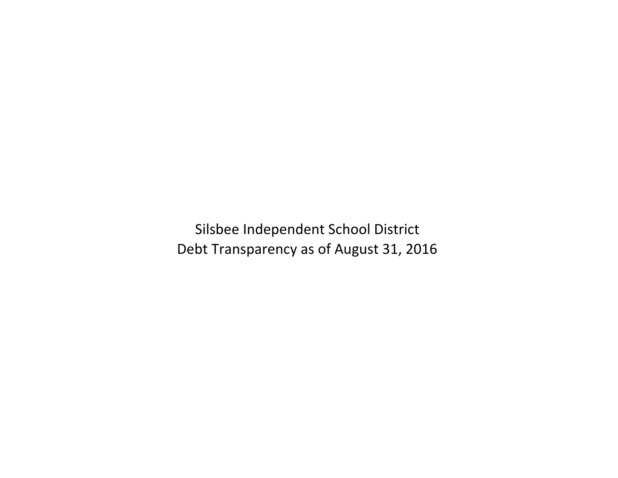Silsbee Independent School District Debt Transparency as of August 31, 2016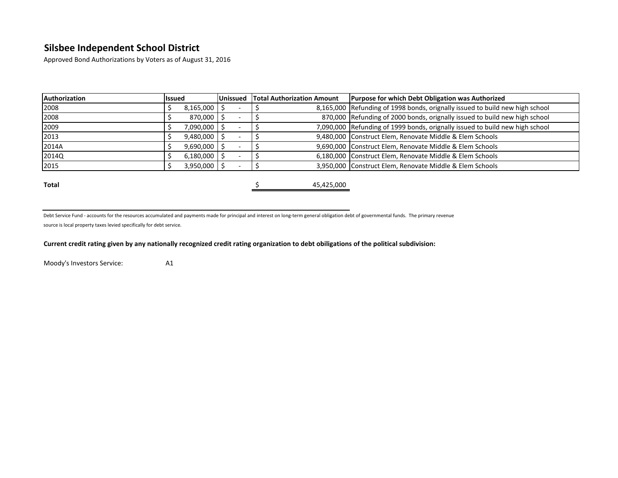Approved Bond Authorizations by Voters as of August 31, 2016

| <b>lissued</b> | <b>Unissued</b> |                                                                                                 | <b>Purpose for which Debt Obligation was Authorized</b>                      |  |  |  |  |  |  |
|----------------|-----------------|-------------------------------------------------------------------------------------------------|------------------------------------------------------------------------------|--|--|--|--|--|--|
|                |                 |                                                                                                 | 8,165,000 Refunding of 1998 bonds, orignally issued to build new high school |  |  |  |  |  |  |
|                |                 |                                                                                                 | 870,000 Refunding of 2000 bonds, orignally issued to build new high school   |  |  |  |  |  |  |
|                |                 |                                                                                                 | 7,090,000 Refunding of 1999 bonds, orignally issued to build new high school |  |  |  |  |  |  |
|                |                 |                                                                                                 | 9,480,000 Construct Elem, Renovate Middle & Elem Schools                     |  |  |  |  |  |  |
|                |                 |                                                                                                 | 9,690,000 Construct Elem, Renovate Middle & Elem Schools                     |  |  |  |  |  |  |
|                |                 |                                                                                                 | 6,180,000 Construct Elem, Renovate Middle & Elem Schools                     |  |  |  |  |  |  |
|                |                 |                                                                                                 | 3,950,000 Construct Elem, Renovate Middle & Elem Schools                     |  |  |  |  |  |  |
|                |                 | 8,165,000<br>870,000<br>7,090,000<br>$9,480,000$ \$<br>9,690,000<br>$6,180,000$ \$<br>3,950,000 | <b>Total Authorization Amount</b>                                            |  |  |  |  |  |  |

**Total 5** 45,425,000

Debt Service Fund - accounts for the resources accumulated and payments made for principal and interest on long-term general obligation debt of governmental funds. The primary revenue source is local property taxes levied specifically for debt service.

**Current credit rating given by any nationally recognized credit rating organization to debt obiligations of the political subdivision:**

Moody's Investors Service: A1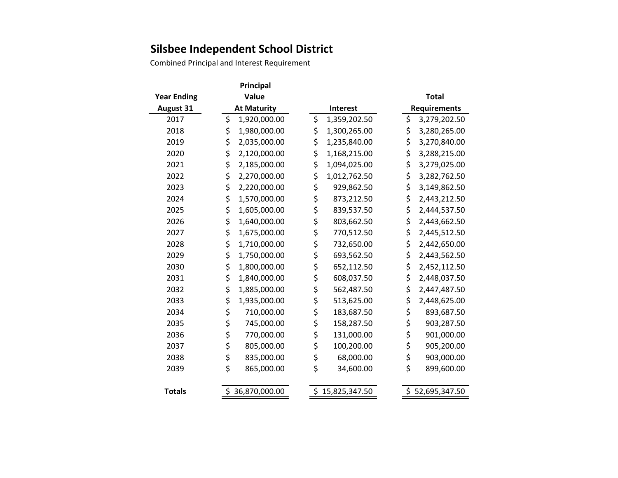Combined Principal and Interest Requirement

|                    | Principal           |  |                 |                 |  |              |                     |  |  |  |
|--------------------|---------------------|--|-----------------|-----------------|--|--------------|---------------------|--|--|--|
| <b>Year Ending</b> | Value               |  |                 |                 |  | <b>Total</b> |                     |  |  |  |
| <b>August 31</b>   | <b>At Maturity</b>  |  | <b>Interest</b> |                 |  |              | <b>Requirements</b> |  |  |  |
| 2017               | \$<br>1,920,000.00  |  | \$              | 1,359,202.50    |  | \$           | 3,279,202.50        |  |  |  |
| 2018               | \$<br>1,980,000.00  |  | \$              | 1,300,265.00    |  | \$           | 3,280,265.00        |  |  |  |
| 2019               | \$<br>2,035,000.00  |  | \$              | 1,235,840.00    |  | \$           | 3,270,840.00        |  |  |  |
| 2020               | \$<br>2,120,000.00  |  | \$              | 1,168,215.00    |  | \$           | 3,288,215.00        |  |  |  |
| 2021               | \$<br>2,185,000.00  |  | \$              | 1,094,025.00    |  | \$           | 3,279,025.00        |  |  |  |
| 2022               | \$<br>2,270,000.00  |  | \$              | 1,012,762.50    |  | \$           | 3,282,762.50        |  |  |  |
| 2023               | \$<br>2,220,000.00  |  | \$              | 929,862.50      |  | \$           | 3,149,862.50        |  |  |  |
| 2024               | \$<br>1,570,000.00  |  | \$              | 873,212.50      |  | \$           | 2,443,212.50        |  |  |  |
| 2025               | \$<br>1,605,000.00  |  | \$              | 839,537.50      |  | \$           | 2,444,537.50        |  |  |  |
| 2026               | \$<br>1,640,000.00  |  | \$              | 803,662.50      |  | \$           | 2,443,662.50        |  |  |  |
| 2027               | \$<br>1,675,000.00  |  | \$              | 770,512.50      |  | \$           | 2,445,512.50        |  |  |  |
| 2028               | \$<br>1,710,000.00  |  | \$              | 732,650.00      |  | \$           | 2,442,650.00        |  |  |  |
| 2029               | \$<br>1,750,000.00  |  | \$              | 693,562.50      |  | \$           | 2,443,562.50        |  |  |  |
| 2030               | \$<br>1,800,000.00  |  | \$              | 652,112.50      |  | \$           | 2,452,112.50        |  |  |  |
| 2031               | \$<br>1,840,000.00  |  | \$              | 608,037.50      |  | \$           | 2,448,037.50        |  |  |  |
| 2032               | \$<br>1,885,000.00  |  | \$              | 562,487.50      |  | \$           | 2,447,487.50        |  |  |  |
| 2033               | \$<br>1,935,000.00  |  | \$              | 513,625.00      |  | \$           | 2,448,625.00        |  |  |  |
| 2034               | \$<br>710,000.00    |  | \$              | 183,687.50      |  | \$           | 893,687.50          |  |  |  |
| 2035               | \$<br>745,000.00    |  | \$              | 158,287.50      |  | \$           | 903,287.50          |  |  |  |
| 2036               | \$<br>770,000.00    |  | \$              | 131,000.00      |  | \$           | 901,000.00          |  |  |  |
| 2037               | \$<br>805,000.00    |  | \$              | 100,200.00      |  | \$           | 905,200.00          |  |  |  |
| 2038               | \$<br>835,000.00    |  | \$              | 68,000.00       |  | \$           | 903,000.00          |  |  |  |
| 2039               | \$<br>865,000.00    |  | \$              | 34,600.00       |  | \$           | 899,600.00          |  |  |  |
|                    |                     |  |                 |                 |  |              |                     |  |  |  |
| <b>Totals</b>      | \$<br>36,870,000.00 |  |                 | \$15,825,347.50 |  |              | \$52,695,347.50     |  |  |  |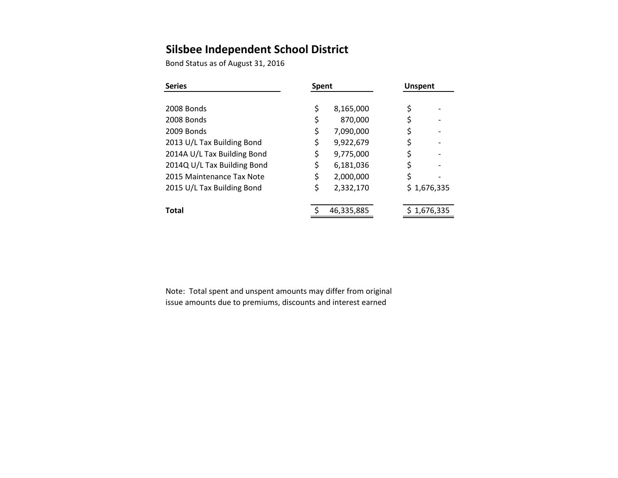Bond Status as of August 31, 2016

| <b>Series</b>                                                                                                                                       | <b>Spent</b>              |                                                               | <b>Unspent</b>       |             |  |  |
|-----------------------------------------------------------------------------------------------------------------------------------------------------|---------------------------|---------------------------------------------------------------|----------------------|-------------|--|--|
| 2008 Bonds<br>2008 Bonds<br>2009 Bonds                                                                                                              | \$<br>\$                  | 8,165,000<br>870,000<br>7,090,000                             | \$<br>\$<br>\$       |             |  |  |
| 2013 U/L Tax Building Bond<br>2014A U/L Tax Building Bond<br>2014Q U/L Tax Building Bond<br>2015 Maintenance Tax Note<br>2015 U/L Tax Building Bond | Ş<br>\$<br>\$<br>\$<br>\$ | 9,922,679<br>9,775,000<br>6,181,036<br>2,000,000<br>2,332,170 | \$<br>\$<br>\$<br>\$ | \$1,676,335 |  |  |
| Total                                                                                                                                               |                           | 46,335,885                                                    |                      | 1,676,335   |  |  |

Note: Total spent and unspent amounts may differ from original issue amounts due to premiums, discounts and interest earned